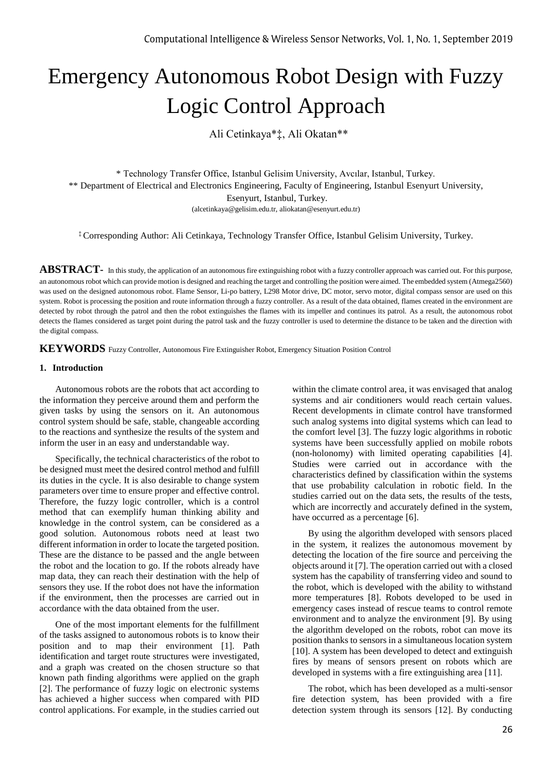# Emergency Autonomous Robot Design with Fuzzy Logic Control Approach

Ali Cetinkaya\*‡, Ali Okatan\*\*

\* Technology Transfer Office, Istanbul Gelisim University, Avcılar, Istanbul, Turkey. \*\* Department of Electrical and Electronics Engineering, Faculty of Engineering, Istanbul Esenyurt University, Esenyurt, Istanbul, Turkey. (alcetinkaya@gelisim.edu.tr, aliokatan@esenyurt.edu.tr)

‡ Corresponding Author: Ali Cetinkaya, Technology Transfer Office, Istanbul Gelisim University, Turkey.

ABSTRACT- In this study, the application of an autonomous fire extinguishing robot with a fuzzy controller approach was carried out. For this purpose, an autonomous robot which can provide motion is designed and reaching the target and controlling the position were aimed. The embedded system (Atmega2560) was used on the designed autonomous robot. Flame Sensor, Li-po battery, L298 Motor drive, DC motor, servo motor, digital compass sensor are used on this system. Robot is processing the position and route information through a fuzzy controller. As a result of the data obtained, flames created in the environment are detected by robot through the patrol and then the robot extinguishes the flames with its impeller and continues its patrol. As a result, the autonomous robot detects the flames considered as target point during the patrol task and the fuzzy controller is used to determine the distance to be taken and the direction with the digital compass.

**KEYWORDS** Fuzzy Controller, Autonomous Fire Extinguisher Robot, Emergency Situation Position Control

#### **1. Introduction**

Autonomous robots are the robots that act according to the information they perceive around them and perform the given tasks by using the sensors on it. An autonomous control system should be safe, stable, changeable according to the reactions and synthesize the results of the system and inform the user in an easy and understandable way.

Specifically, the technical characteristics of the robot to be designed must meet the desired control method and fulfill its duties in the cycle. It is also desirable to change system parameters over time to ensure proper and effective control. Therefore, the fuzzy logic controller, which is a control method that can exemplify human thinking ability and knowledge in the control system, can be considered as a good solution. Autonomous robots need at least two different information in order to locate the targeted position. These are the distance to be passed and the angle between the robot and the location to go. If the robots already have map data, they can reach their destination with the help of sensors they use. If the robot does not have the information if the environment, then the processes are carried out in accordance with the data obtained from the user.

One of the most important elements for the fulfillment of the tasks assigned to autonomous robots is to know their position and to map their environment [1]. Path identification and target route structures were investigated, and a graph was created on the chosen structure so that known path finding algorithms were applied on the graph [2]. The performance of fuzzy logic on electronic systems has achieved a higher success when compared with PID control applications. For example, in the studies carried out

within the climate control area, it was envisaged that analog systems and air conditioners would reach certain values. Recent developments in climate control have transformed such analog systems into digital systems which can lead to the comfort level [3]. The fuzzy logic algorithms in robotic systems have been successfully applied on mobile robots (non-holonomy) with limited operating capabilities [4]. Studies were carried out in accordance with the characteristics defined by classification within the systems that use probability calculation in robotic field. In the studies carried out on the data sets, the results of the tests, which are incorrectly and accurately defined in the system, have occurred as a percentage [6].

By using the algorithm developed with sensors placed in the system, it realizes the autonomous movement by detecting the location of the fire source and perceiving the objects around it [7]. The operation carried out with a closed system has the capability of transferring video and sound to the robot, which is developed with the ability to withstand more temperatures [8]. Robots developed to be used in emergency cases instead of rescue teams to control remote environment and to analyze the environment [9]. By using the algorithm developed on the robots, robot can move its position thanks to sensors in a simultaneous location system [10]. A system has been developed to detect and extinguish fires by means of sensors present on robots which are developed in systems with a fire extinguishing area [11].

The robot, which has been developed as a multi-sensor fire detection system, has been provided with a fire detection system through its sensors [12]. By conducting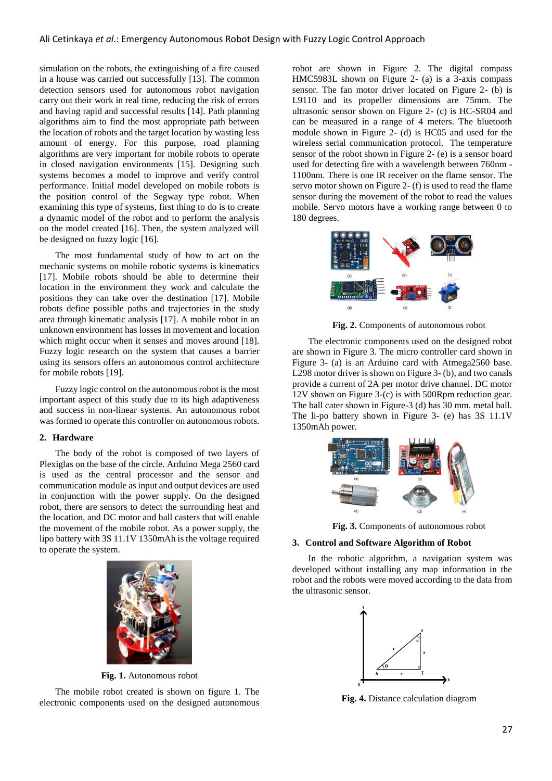simulation on the robots, the extinguishing of a fire caused in a house was carried out successfully [13]. The common detection sensors used for autonomous robot navigation carry out their work in real time, reducing the risk of errors and having rapid and successful results [14]. Path planning algorithms aim to find the most appropriate path between the location of robots and the target location by wasting less amount of energy. For this purpose, road planning algorithms are very important for mobile robots to operate in closed navigation environments [15]. Designing such systems becomes a model to improve and verify control performance. Initial model developed on mobile robots is the position control of the Segway type robot. When examining this type of systems, first thing to do is to create a dynamic model of the robot and to perform the analysis on the model created [16]. Then, the system analyzed will be designed on fuzzy logic [16].

The most fundamental study of how to act on the mechanic systems on mobile robotic systems is kinematics [17]. Mobile robots should be able to determine their location in the environment they work and calculate the positions they can take over the destination [17]. Mobile robots define possible paths and trajectories in the study area through kinematic analysis [17]. A mobile robot in an unknown environment has losses in movement and location which might occur when it senses and moves around [18]. Fuzzy logic research on the system that causes a barrier using its sensors offers an autonomous control architecture for mobile robots [19].

Fuzzy logic control on the autonomous robot is the most important aspect of this study due to its high adaptiveness and success in non-linear systems. An autonomous robot was formed to operate this controller on autonomous robots.

#### **2. Hardware**

The body of the robot is composed of two layers of Plexiglas on the base of the circle. Arduino Mega 2560 card is used as the central processor and the sensor and communication module as input and output devices are used in conjunction with the power supply. On the designed robot, there are sensors to detect the surrounding heat and the location, and DC motor and ball casters that will enable the movement of the mobile robot. As a power supply, the lipo battery with 3S 11.1V 1350mAh is the voltage required to operate the system.



**Fig. 1.** Autonomous robot

The mobile robot created is shown on figure 1. The electronic components used on the designed autonomous robot are shown in Figure 2. The digital compass HMC5983L shown on Figure 2- (a) is a 3-axis compass sensor. The fan motor driver located on Figure 2-  $(b)$  is L9110 and its propeller dimensions are 75mm. The ultrasonic sensor shown on Figure 2- (c) is HC-SR04 and can be measured in a range of 4 meters. The bluetooth module shown in Figure 2- (d) is HC05 and used for the wireless serial communication protocol. The temperature sensor of the robot shown in Figure 2- (e) is a sensor board used for detecting fire with a wavelength between 760nm - 1100nm. There is one IR receiver on the flame sensor. The servo motor shown on Figure 2- (f) is used to read the flame sensor during the movement of the robot to read the values mobile. Servo motors have a working range between 0 to 180 degrees.



**Fig. 2.** Components of autonomous robot

The electronic components used on the designed robot are shown in Figure 3. The micro controller card shown in Figure 3- (a) is an Arduino card with Atmega2560 base. L298 motor driver is shown on Figure 3- (b), and two canals provide a current of 2A per motor drive channel. DC motor 12V shown on Figure 3-(c) is with 500Rpm reduction gear. The ball cater shown in Figure-3 (d) has 30 mm. metal ball. The li-po battery shown in Figure 3- (e) has 3S 11.1V 1350mAh power.



**Fig. 3.** Components of autonomous robot

# **3. Control and Software Algorithm of Robot**

In the robotic algorithm, a navigation system was developed without installing any map information in the robot and the robots were moved according to the data from the ultrasonic sensor.



**Fig. 4.** Distance calculation diagram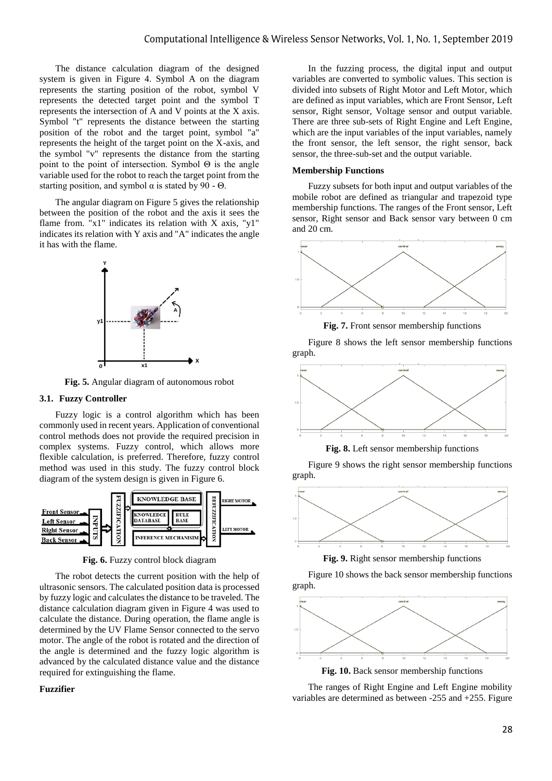The distance calculation diagram of the designed system is given in Figure 4. Symbol A on the diagram represents the starting position of the robot, symbol V represents the detected target point and the symbol T represents the intersection of A and V points at the X axis. Symbol "t" represents the distance between the starting position of the robot and the target point, symbol "a" represents the height of the target point on the X-axis, and the symbol "v" represents the distance from the starting point to the point of intersection. Symbol Θ is the angle variable used for the robot to reach the target point from the starting position, and symbol  $\alpha$  is stated by 90 - Θ.

The angular diagram on Figure 5 gives the relationship between the position of the robot and the axis it sees the flame from. " $x1$ " indicates its relation with X axis, " $y1$ " indicates its relation with Y axis and "A" indicates the angle it has with the flame.



**Fig. 5.** Angular diagram of autonomous robot

# **3.1. Fuzzy Controller**

Fuzzy logic is a control algorithm which has been commonly used in recent years. Application of conventional control methods does not provide the required precision in complex systems. Fuzzy control, which allows more flexible calculation, is preferred. Therefore, fuzzy control method was used in this study. The fuzzy control block diagram of the system design is given in Figure 6.



**Fig. 6.** Fuzzy control block diagram

The robot detects the current position with the help of ultrasonic sensors. The calculated position data is processed by fuzzy logic and calculates the distance to be traveled. The distance calculation diagram given in Figure 4 was used to calculate the distance. During operation, the flame angle is determined by the UV Flame Sensor connected to the servo motor. The angle of the robot is rotated and the direction of the angle is determined and the fuzzy logic algorithm is advanced by the calculated distance value and the distance required for extinguishing the flame.

#### **Fuzzifier**

In the fuzzing process, the digital input and output variables are converted to symbolic values. This section is divided into subsets of Right Motor and Left Motor, which are defined as input variables, which are Front Sensor, Left sensor, Right sensor, Voltage sensor and output variable. There are three sub-sets of Right Engine and Left Engine, which are the input variables of the input variables, namely the front sensor, the left sensor, the right sensor, back sensor, the three-sub-set and the output variable.

# **Membership Functions**

Fuzzy subsets for both input and output variables of the mobile robot are defined as triangular and trapezoid type membership functions. The ranges of the Front sensor, Left sensor, Right sensor and Back sensor vary between 0 cm and 20 cm.



**Fig. 7.** Front sensor membership functions

Figure 8 shows the left sensor membership functions graph.



**Fig. 8.** Left sensor membership functions

Figure 9 shows the right sensor membership functions graph.



**Fig. 9.** Right sensor membership functions

Figure 10 shows the back sensor membership functions graph.



**Fig. 10.** Back sensor membership functions

The ranges of Right Engine and Left Engine mobility variables are determined as between -255 and +255. Figure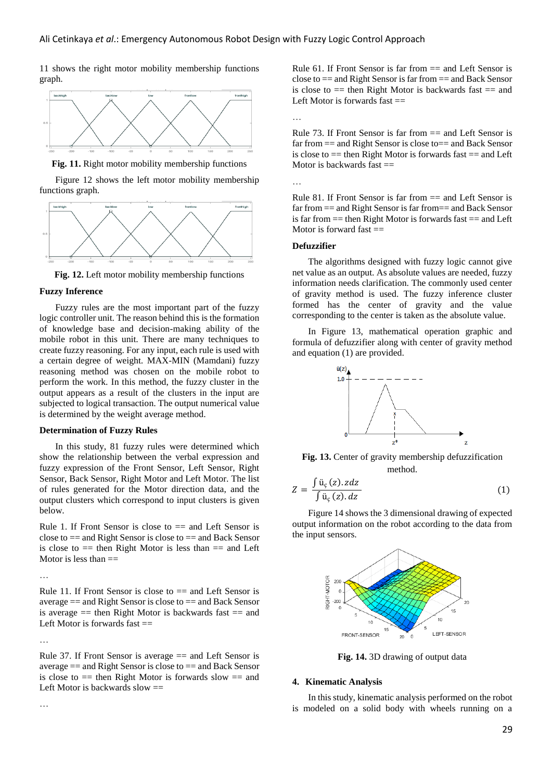11 shows the right motor mobility membership functions graph.



**Fig. 11.** Right motor mobility membership functions

Figure 12 shows the left motor mobility membership functions graph.



**Fig. 12.** Left motor mobility membership functions

#### **Fuzzy Inference**

Fuzzy rules are the most important part of the fuzzy logic controller unit. The reason behind this is the formation of knowledge base and decision-making ability of the mobile robot in this unit. There are many techniques to create fuzzy reasoning. For any input, each rule is used with a certain degree of weight. MAX-MIN (Mamdani) fuzzy reasoning method was chosen on the mobile robot to perform the work. In this method, the fuzzy cluster in the output appears as a result of the clusters in the input are subjected to logical transaction. The output numerical value is determined by the weight average method.

# **Determination of Fuzzy Rules**

In this study, 81 fuzzy rules were determined which show the relationship between the verbal expression and fuzzy expression of the Front Sensor, Left Sensor, Right Sensor, Back Sensor, Right Motor and Left Motor. The list of rules generated for the Motor direction data, and the output clusters which correspond to input clusters is given below.

Rule 1. If Front Sensor is close to  $==$  and Left Sensor is close to  $==$  and Right Sensor is close to  $==$  and Back Sensor is close to  $=$  then Right Motor is less than  $=$  and Left Motor is less than  $==$ 

…

Rule 11. If Front Sensor is close to  $=$  and Left Sensor is average == and Right Sensor is close to == and Back Sensor is average  $=$  then Right Motor is backwards fast  $=$  and Left Motor is forwards fast  $==$ 

…

…

Rule 37. If Front Sensor is average  $==$  and Left Sensor is average  $==$  and Right Sensor is close to  $==$  and Back Sensor is close to  $=$  then Right Motor is forwards slow  $=$  and Left Motor is backwards slow  $==$ 

Rule 61. If Front Sensor is far from  $=$  and Left Sensor is close to  $==$  and Right Sensor is far from  $==$  and Back Sensor is close to  $=$  then Right Motor is backwards fast  $=$  and Left Motor is forwards fast  $==$ 

…

Rule 73. If Front Sensor is far from  $==$  and Left Sensor is far from  $==$  and Right Sensor is close to $==$  and Back Sensor is close to  $==$  then Right Motor is forwards fast  $==$  and Left Motor is backwards fast  $==$ 

…

Rule 81. If Front Sensor is far from  $==$  and Left Sensor is far from == and Right Sensor is far from== and Back Sensor is far from  $==$  then Right Motor is forwards fast  $==$  and Left Motor is forward fast  $==$ 

# **Defuzzifier**

The algorithms designed with fuzzy logic cannot give net value as an output. As absolute values are needed, fuzzy information needs clarification. The commonly used center of gravity method is used. The fuzzy inference cluster formed has the center of gravity and the value corresponding to the center is taken as the absolute value.

In Figure 13, mathematical operation graphic and formula of defuzzifier along with center of gravity method and equation (1) are provided.



**Fig. 13.** Center of gravity membership defuzzification method.

$$
Z = \frac{\int \ddot{u}_{\varsigma}(z). zdz}{\int \ddot{u}_{\varsigma}(z). dz}
$$
 (1)

Figure 14 shows the 3 dimensional drawing of expected output information on the robot according to the data from the input sensors.



**Fig. 14.** 3D drawing of output data

#### **4. Kinematic Analysis**

In this study, kinematic analysis performed on the robot is modeled on a solid body with wheels running on a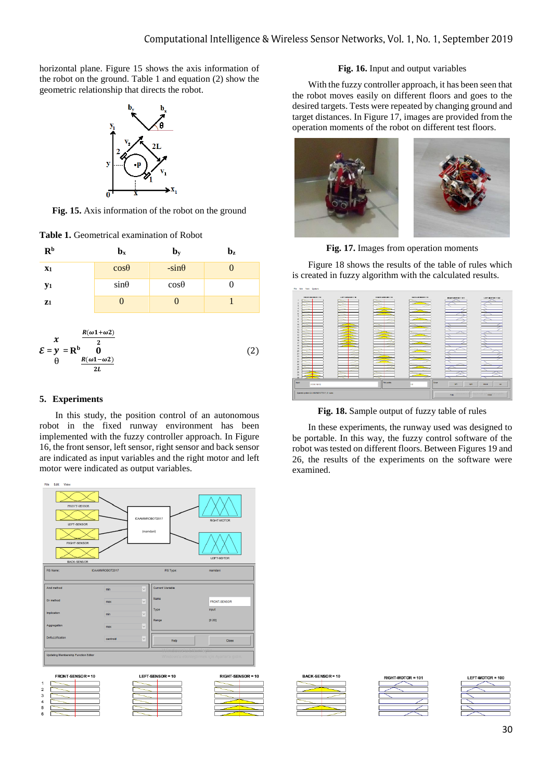horizontal plane. Figure 15 shows the axis information of the robot on the ground. Table 1 and equation (2) show the geometric relationship that directs the robot.



**Fig. 15.** Axis information of the robot on the ground

**Table 1.** Geometrical examination of Robot



# **5. Experiments**

In this study, the position control of an autonomous robot in the fixed runway environment has been implemented with the fuzzy controller approach. In Figure 16, the front sensor, left sensor, right sensor and back sensor are indicated as input variables and the right motor and left motor were indicated as output variables.



# **Fig. 16.** Input and output variables

With the fuzzy controller approach, it has been seen that the robot moves easily on different floors and goes to the desired targets. Tests were repeated by changing ground and target distances. In Figure 17, images are provided from the operation moments of the robot on different test floors.



**Fig. 17.** Images from operation moments

Figure 18 shows the results of the table of rules which is created in fuzzy algorithm with the calculated results.



**Fig. 18.** Sample output of fuzzy table of rules

In these experiments, the runway used was designed to be portable. In this way, the fuzzy control software of the robot was tested on different floors. Between Figures 19 and 26, the results of the experiments on the software were examined.



GHT-MOTOR

# LEFT-MOTOR = 100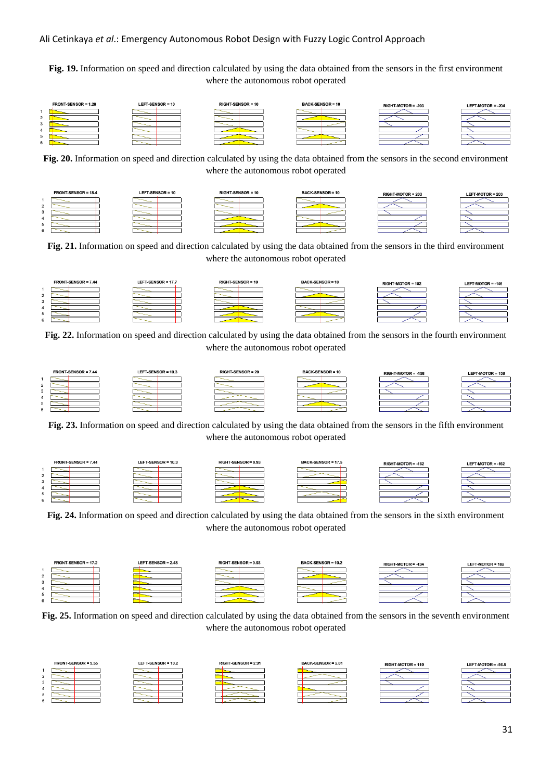# Ali Cetinkaya *et al*.: Emergency Autonomous Robot Design with Fuzzy Logic Control Approach

**Fig. 19.** Information on speed and direction calculated by using the data obtained from the sensors in the first environment where the autonomous robot operated



**Fig. 20.** Information on speed and direction calculated by using the data obtained from the sensors in the second environment where the autonomous robot operated



**Fig. 21.** Information on speed and direction calculated by using the data obtained from the sensors in the third environment where the autonomous robot operated

| FRONT-SENSOR = 7.44 | LEFT-SENSOR = 17.7 | <b>RIGHT-SENSOR = 10</b> | <b>BACK-SENSOR = 10</b> | <b>RIGHT-MOTOR = 152</b> | LEFT-MOTOR = -146 |
|---------------------|--------------------|--------------------------|-------------------------|--------------------------|-------------------|
|                     |                    |                          |                         |                          |                   |
|                     |                    |                          |                         |                          |                   |
|                     |                    |                          |                         |                          |                   |
|                     |                    |                          |                         |                          |                   |
|                     |                    |                          |                         |                          |                   |
|                     |                    |                          |                         |                          |                   |

**Fig. 22.** Information on speed and direction calculated by using the data obtained from the sensors in the fourth environment where the autonomous robot operated



**Fig. 23.** Information on speed and direction calculated by using the data obtained from the sensors in the fifth environment where the autonomous robot operated



**Fig. 24.** Information on speed and direction calculated by using the data obtained from the sensors in the sixth environment where the autonomous robot operated



**Fig. 25.** Information on speed and direction calculated by using the data obtained from the sensors in the seventh environment where the autonomous robot operated

| FRONT-SENSOR = 9.55 | LEFT-SENSOR = 10.2 | RIGHT-SENSOR = 2.91 | <b>BACK-SENSOR = 2.01</b> | RIGHT-MOTOR = 110 | LEFT-MOTOR = $-56.5$ |
|---------------------|--------------------|---------------------|---------------------------|-------------------|----------------------|
|                     |                    |                     |                           |                   |                      |
|                     |                    |                     |                           |                   |                      |
|                     |                    |                     |                           |                   |                      |
|                     |                    |                     |                           |                   |                      |
|                     |                    |                     |                           |                   |                      |
|                     |                    |                     |                           |                   |                      |

LEFT-MOTOR = 203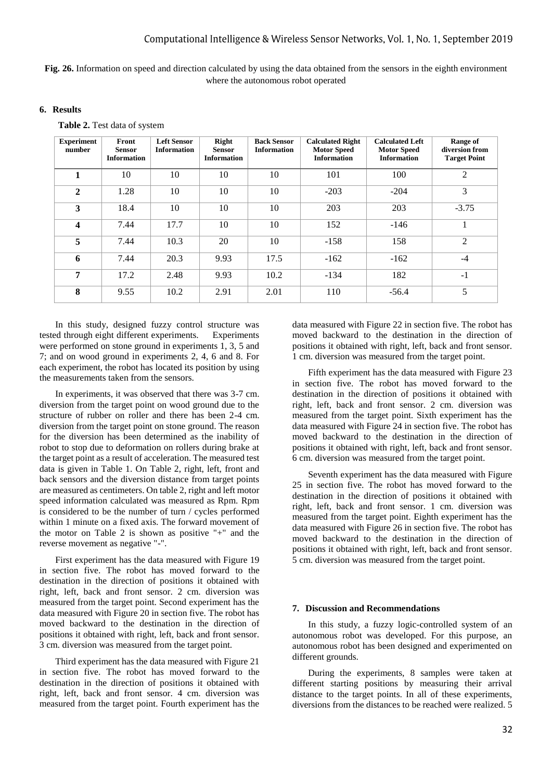**Fig. 26.** Information on speed and direction calculated by using the data obtained from the sensors in the eighth environment where the autonomous robot operated

# **6. Results**

 **Table 2.** Test data of system

| <b>Experiment</b><br>number | Front<br><b>Sensor</b><br><b>Information</b> | <b>Left Sensor</b><br><b>Information</b> | Right<br>Sensor<br><b>Information</b> | <b>Back Sensor</b><br><b>Information</b> | <b>Calculated Right</b><br><b>Motor Speed</b><br><b>Information</b> | <b>Calculated Left</b><br><b>Motor Speed</b><br><b>Information</b> | Range of<br>diversion from<br><b>Target Point</b> |
|-----------------------------|----------------------------------------------|------------------------------------------|---------------------------------------|------------------------------------------|---------------------------------------------------------------------|--------------------------------------------------------------------|---------------------------------------------------|
| 1                           | 10                                           | 10                                       | 10                                    | 10                                       | 101                                                                 | 100                                                                | $\overline{2}$                                    |
| $\overline{2}$              | 1.28                                         | 10                                       | 10                                    | 10                                       | $-203$                                                              | $-204$                                                             | 3                                                 |
| 3                           | 18.4                                         | 10                                       | 10                                    | 10                                       | 203                                                                 | 203                                                                | $-3.75$                                           |
| $\overline{\mathbf{4}}$     | 7.44                                         | 17.7                                     | 10                                    | 10                                       | 152                                                                 | $-146$                                                             | 1                                                 |
| 5                           | 7.44                                         | 10.3                                     | 20                                    | 10                                       | $-158$                                                              | 158                                                                | $\overline{2}$                                    |
| 6                           | 7.44                                         | 20.3                                     | 9.93                                  | 17.5                                     | $-162$                                                              | $-162$                                                             | $-4$                                              |
| 7                           | 17.2                                         | 2.48                                     | 9.93                                  | 10.2                                     | $-134$                                                              | 182                                                                | $-1$                                              |
| 8                           | 9.55                                         | 10.2                                     | 2.91                                  | 2.01                                     | 110                                                                 | $-56.4$                                                            | 5                                                 |

In this study, designed fuzzy control structure was tested through eight different experiments. Experiments were performed on stone ground in experiments 1, 3, 5 and 7; and on wood ground in experiments 2, 4, 6 and 8. For each experiment, the robot has located its position by using the measurements taken from the sensors.

In experiments, it was observed that there was 3-7 cm. diversion from the target point on wood ground due to the structure of rubber on roller and there has been 2-4 cm. diversion from the target point on stone ground. The reason for the diversion has been determined as the inability of robot to stop due to deformation on rollers during brake at the target point as a result of acceleration. The measured test data is given in Table 1. On Table 2, right, left, front and back sensors and the diversion distance from target points are measured as centimeters. On table 2, right and left motor speed information calculated was measured as Rpm. Rpm is considered to be the number of turn / cycles performed within 1 minute on a fixed axis. The forward movement of the motor on Table 2 is shown as positive "+" and the reverse movement as negative "-".

First experiment has the data measured with Figure 19 in section five. The robot has moved forward to the destination in the direction of positions it obtained with right, left, back and front sensor. 2 cm. diversion was measured from the target point. Second experiment has the data measured with Figure 20 in section five. The robot has moved backward to the destination in the direction of positions it obtained with right, left, back and front sensor. 3 cm. diversion was measured from the target point.

Third experiment has the data measured with Figure 21 in section five. The robot has moved forward to the destination in the direction of positions it obtained with right, left, back and front sensor. 4 cm. diversion was measured from the target point. Fourth experiment has the

data measured with Figure 22 in section five. The robot has moved backward to the destination in the direction of positions it obtained with right, left, back and front sensor. 1 cm. diversion was measured from the target point.

Fifth experiment has the data measured with Figure 23 in section five. The robot has moved forward to the destination in the direction of positions it obtained with right, left, back and front sensor. 2 cm. diversion was measured from the target point. Sixth experiment has the data measured with Figure 24 in section five. The robot has moved backward to the destination in the direction of positions it obtained with right, left, back and front sensor. 6 cm. diversion was measured from the target point.

Seventh experiment has the data measured with Figure 25 in section five. The robot has moved forward to the destination in the direction of positions it obtained with right, left, back and front sensor. 1 cm. diversion was measured from the target point. Eighth experiment has the data measured with Figure 26 in section five. The robot has moved backward to the destination in the direction of positions it obtained with right, left, back and front sensor. 5 cm. diversion was measured from the target point.

#### **7. Discussion and Recommendations**

In this study, a fuzzy logic-controlled system of an autonomous robot was developed. For this purpose, an autonomous robot has been designed and experimented on different grounds.

During the experiments, 8 samples were taken at different starting positions by measuring their arrival distance to the target points. In all of these experiments, diversions from the distances to be reached were realized. 5